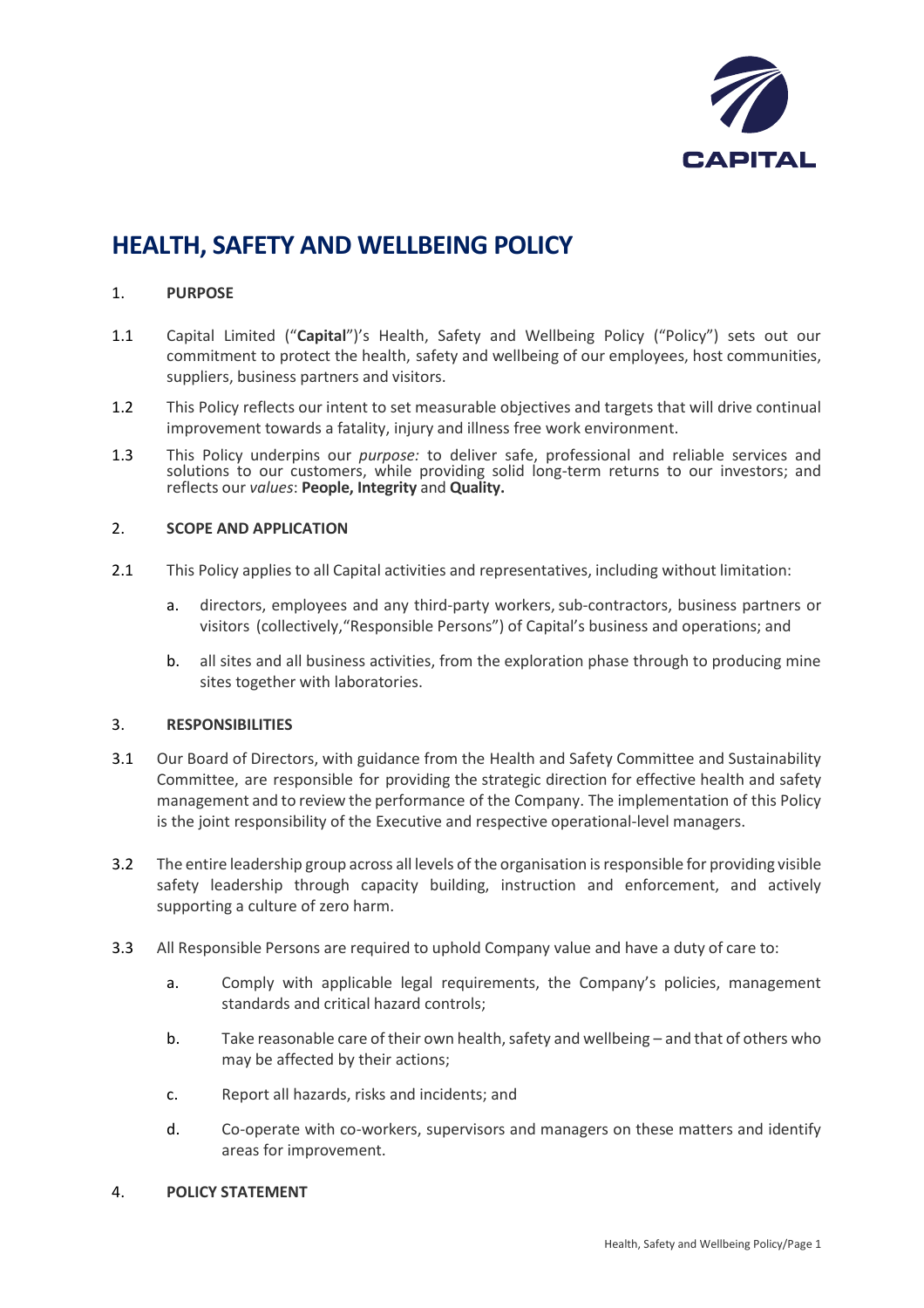

# **HEALTH, SAFETY AND WELLBEING POLICY**

## 1. **PURPOSE**

- 1.1 Capital Limited ("**Capital**")'s Health, Safety and Wellbeing Policy ("Policy") sets out our commitment to protect the health, safety and wellbeing of our employees, host communities, suppliers, business partners and visitors.
- 1.2 This Policy reflects our intent to set measurable objectives and targets that will drive continual improvement towards a fatality, injury and illness free work environment.
- 1.3 This Policy underpins our *purpose:* to deliver safe, professional and reliable services and solutions to our customers, while providing solid long-term returns to our investors; and reflects our *values*: **People, Integrity** and **Quality.**

#### 2. **SCOPE AND APPLICATION**

- 2.1 This Policy applies to all Capital activities and representatives, including without limitation:
	- a. directors, employees and any third-party workers,sub-contractors, business partners or visitors (collectively,"Responsible Persons") of Capital's business and operations; and
	- b. all sites and all business activities, from the exploration phase through to producing mine sites together with laboratories.

## 3. **RESPONSIBILITIES**

- 3.1 Our Board of Directors, with guidance from the Health and Safety Committee and Sustainability Committee, are responsible for providing the strategic direction for effective health and safety management and to review the performance of the Company. The implementation of this Policy is the joint responsibility of the Executive and respective operational-level managers.
- 3.2 The entire leadership group across all levels of the organisation isresponsible for providing visible safety leadership through capacity building, instruction and enforcement, and actively supporting a culture of zero harm.
- 3.3 All Responsible Persons are required to uphold Company value and have a duty of care to:
	- a. Comply with applicable legal requirements, the Company's policies, management standards and critical hazard controls;
	- b. Take reasonable care of their own health, safety and wellbeing and that of others who may be affected by their actions;
	- c. Report all hazards, risks and incidents; and
	- d. Co-operate with co-workers, supervisors and managers on these matters and identify areas for improvement.
- 4. **POLICY STATEMENT**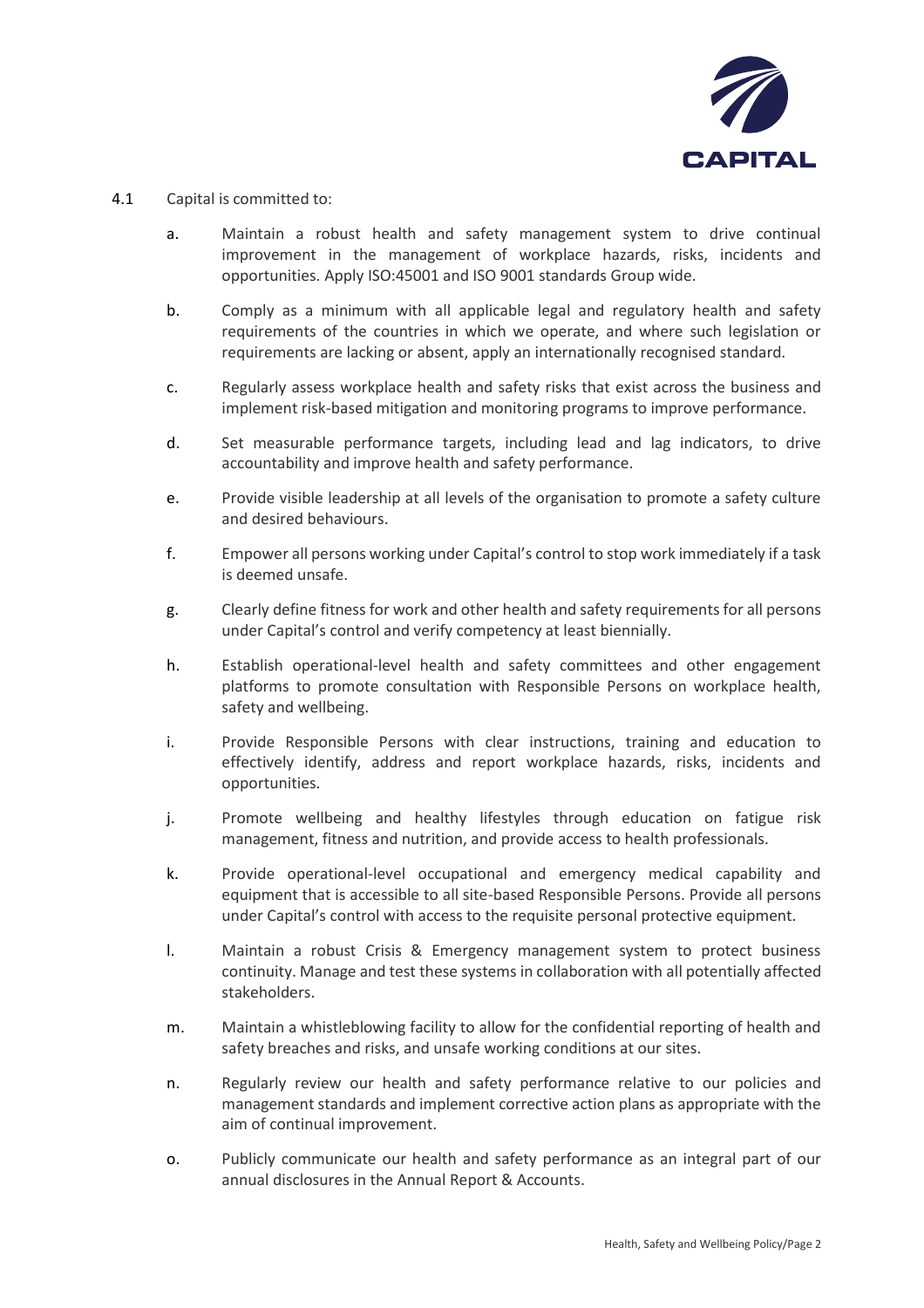

- 4.1 Capital is committed to:
	- a. Maintain a robust health and safety management system to drive continual improvement in the management of workplace hazards, risks, incidents and opportunities. Apply ISO:45001 and ISO 9001 standards Group wide.
	- b. Comply as a minimum with all applicable legal and regulatory health and safety requirements of the countries in which we operate, and where such legislation or requirements are lacking or absent, apply an internationally recognised standard.
	- c. Regularly assess workplace health and safety risks that exist across the business and implement risk-based mitigation and monitoring programs to improve performance.
	- d. Set measurable performance targets, including lead and lag indicators, to drive accountability and improve health and safety performance.
	- e. Provide visible leadership at all levels of the organisation to promote a safety culture and desired behaviours.
	- f. Empower all persons working under Capital's control to stop work immediately if a task is deemed unsafe.
	- g. Clearly define fitness for work and other health and safety requirements for all persons under Capital's control and verify competency at least biennially.
	- h. Establish operational-level health and safety committees and other engagement platforms to promote consultation with Responsible Persons on workplace health, safety and wellbeing.
	- i. Provide Responsible Persons with clear instructions, training and education to effectively identify, address and report workplace hazards, risks, incidents and opportunities.
	- j. Promote wellbeing and healthy lifestyles through education on fatigue risk management, fitness and nutrition, and provide access to health professionals.
	- k. Provide operational-level occupational and emergency medical capability and equipment that is accessible to all site-based Responsible Persons. Provide all persons under Capital's control with access to the requisite personal protective equipment.
	- l. Maintain a robust Crisis & Emergency management system to protect business continuity. Manage and test these systems in collaboration with all potentially affected stakeholders.
	- m. Maintain a whistleblowing facility to allow for the confidential reporting of health and safety breaches and risks, and unsafe working conditions at our sites.
	- n. Regularly review our health and safety performance relative to our policies and management standards and implement corrective action plans as appropriate with the aim of continual improvement.
	- o. Publicly communicate our health and safety performance as an integral part of our annual disclosures in the Annual Report & Accounts.